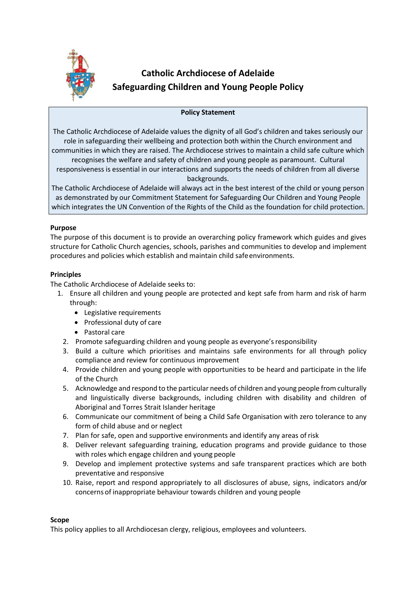

# **Catholic Archdiocese of Adelaide Safeguarding Children and Young People Policy**

# **Policy Statement**

The Catholic Archdiocese of Adelaide values the dignity of all God's children and takes seriously our role in safeguarding their wellbeing and protection both within the Church environment and communities in which they are raised. The Archdiocese strives to maintain a child safe culture which recognises the welfare and safety of children and young people as paramount. Cultural responsiveness is essential in our interactions and supports the needs of children from all diverse backgrounds.

The Catholic Archdiocese of Adelaide will always act in the best interest of the child or young person as demonstrated by our Commitment Statement for Safeguarding Our Children and Young People which integrates the UN Convention of the Rights of the Child as the foundation for child protection.

## **Purpose**

The purpose of this document is to provide an overarching policy framework which guides and gives structure for Catholic Church agencies, schools, parishes and communities to develop and implement procedures and policies which establish and maintain child safeenvironments.

## **Principles**

The Catholic Archdiocese of Adelaide seeks to:

- 1. Ensure all children and young people are protected and kept safe from harm and risk of harm through:
	- Legislative requirements
	- Professional duty of care
	- Pastoral care
	- 2. Promote safeguarding children and young people as everyone'sresponsibility
	- 3. Build a culture which prioritises and maintains safe environments for all through policy compliance and review for continuous improvement
	- 4. Provide children and young people with opportunities to be heard and participate in the life of the Church
	- 5. Acknowledge and respond to the particular needs of children and young people from culturally and linguistically diverse backgrounds, including children with disability and children of Aboriginal and Torres Strait Islander heritage
	- 6. Communicate our commitment of being a Child Safe Organisation with zero tolerance to any form of child abuse and or neglect
	- 7. Plan for safe, open and supportive environments and identify any areas ofrisk
	- 8. Deliver relevant safeguarding training, education programs and provide guidance to those with roles which engage children and young people
	- 9. Develop and implement protective systems and safe transparent practices which are both preventative and responsive
	- 10. Raise, report and respond appropriately to all disclosures of abuse, signs, indicators and/or concerns of inappropriate behaviour towards children and young people

## **Scope**

This policy applies to all Archdiocesan clergy, religious, employees and volunteers.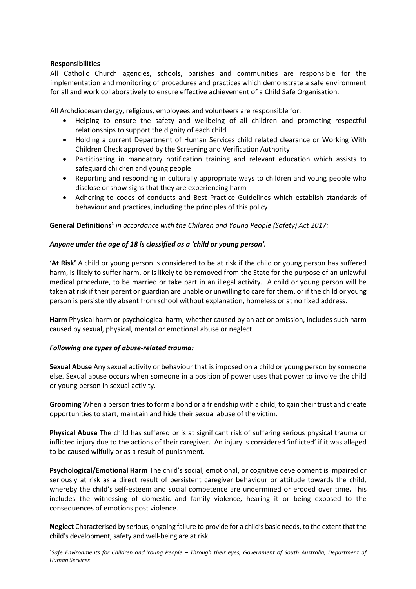## **Responsibilities**

All Catholic Church agencies, schools, parishes and communities are responsible for the implementation and monitoring of procedures and practices which demonstrate a safe environment for all and work collaboratively to ensure effective achievement of a Child Safe Organisation.

All Archdiocesan clergy, religious, employees and volunteers are responsible for:

- Helping to ensure the safety and wellbeing of all children and promoting respectful relationships to support the dignity of each child
- Holding a current Department of Human Services child related clearance or Working With Children Check approved by the Screening and Verification Authority
- Participating in mandatory notification training and relevant education which assists to safeguard children and young people
- Reporting and responding in culturally appropriate ways to children and young people who disclose or show signs that they are experiencing harm
- Adhering to codes of conducts and Best Practice Guidelines which establish standards of behaviour and practices, including the principles of this policy

# **General Definitions<sup>1</sup>** *in accordance with the Children and Young People (Safety) Act 2017:*

## *Anyone under the age of 18 is classified as a 'child or young person'.*

**'At Risk'** A child or young person is considered to be at risk if the child or young person has suffered harm, is likely to suffer harm, or is likely to be removed from the State for the purpose of an unlawful medical procedure, to be married or take part in an illegal activity. A child or young person will be taken at risk if their parent or guardian are unable or unwilling to care for them, or if the child or young person is persistently absent from school without explanation, homeless or at no fixed address.

**Harm** Physical harm or psychological harm, whether caused by an act or omission, includes such harm caused by sexual, physical, mental or emotional abuse or neglect.

## *Following are types of abuse-related trauma:*

**Sexual Abuse** Any sexual activity or behaviour that is imposed on a child or young person by someone else. Sexual abuse occurs when someone in a position of power uses that power to involve the child or young person in sexual activity.

**Grooming** When a person tries to form a bond or a friendship with a child, to gain their trust and create opportunities to start, maintain and hide their sexual abuse of the victim.

**Physical Abuse** The child has suffered or is at significant risk of suffering serious physical trauma or inflicted injury due to the actions of their caregiver. An injury is considered 'inflicted' if it was alleged to be caused wilfully or as a result of punishment.

**Psychological/Emotional Harm** The child's social, emotional, or cognitive development is impaired or seriously at risk as a direct result of persistent caregiver behaviour or attitude towards the child, whereby the child's self-esteem and social competence are undermined or eroded over time**.** This includes the witnessing of domestic and family violence, hearing it or being exposed to the consequences of emotions post violence.

**Neglect** Characterised by serious, ongoing failure to provide for a child's basic needs, to the extent that the child's development, safety and well-being are at risk.